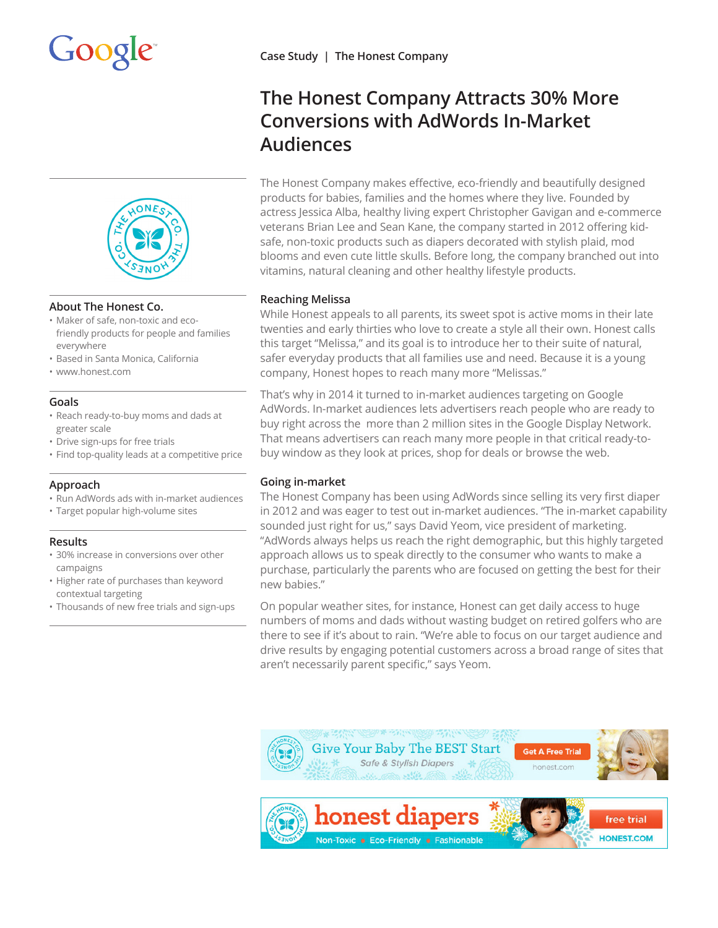



### **About The Honest Co.**

- Maker of safe, non-toxic and ecofriendly products for people and families everywhere
- Based in Santa Monica, California
- www.honest.com

## **Goals**

- Reach ready-to-buy moms and dads at greater scale
- Drive sign-ups for free trials
- Find top-quality leads at a competitive price

### **Approach**

- Run AdWords ads with in-market audiences
- Target popular high-volume sites

### **Results**

- 30% increase in conversions over other campaigns
- Higher rate of purchases than keyword contextual targeting
- Thousands of new free trials and sign-ups

# **The Honest Company Attracts 30% More Conversions with AdWords In-Market Audiences**

The Honest Company makes effective, eco-friendly and beautifully designed products for babies, families and the homes where they live. Founded by actress Jessica Alba, healthy living expert Christopher Gavigan and e-commerce veterans Brian Lee and Sean Kane, the company started in 2012 offering kidsafe, non-toxic products such as diapers decorated with stylish plaid, mod blooms and even cute little skulls. Before long, the company branched out into vitamins, natural cleaning and other healthy lifestyle products.

# **Reaching Melissa**

While Honest appeals to all parents, its sweet spot is active moms in their late twenties and early thirties who love to create a style all their own. Honest calls this target "Melissa," and its goal is to introduce her to their suite of natural, safer everyday products that all families use and need. Because it is a young company, Honest hopes to reach many more "Melissas."

That's why in 2014 it turned to in-market audiences targeting on Google AdWords. In-market audiences lets advertisers reach people who are ready to buy right across the more than 2 million sites in the Google Display Network. That means advertisers can reach many more people in that critical ready-tobuy window as they look at prices, shop for deals or browse the web.

## **Going in-market**

The Honest Company has been using AdWords since selling its very first diaper in 2012 and was eager to test out in-market audiences. "The in-market capability sounded just right for us," says David Yeom, vice president of marketing. "AdWords always helps us reach the right demographic, but this highly targeted approach allows us to speak directly to the consumer who wants to make a purchase, particularly the parents who are focused on getting the best for their new babies."

On popular weather sites, for instance, Honest can get daily access to huge numbers of moms and dads without wasting budget on retired golfers who are there to see if it's about to rain. "We're able to focus on our target audience and drive results by engaging potential customers across a broad range of sites that aren't necessarily parent specific," says Yeom.